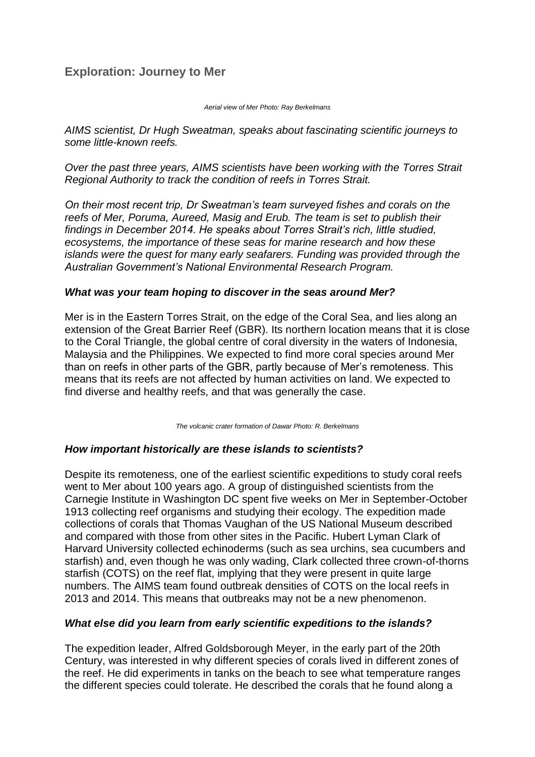# **Exploration: Journey to Mer**

#### *Aerial view of Mer Photo: Ray Berkelmans*

*AIMS scientist, Dr Hugh Sweatman, speaks about fascinating scientific journeys to some little-known reefs.*

*Over the past three years, AIMS scientists have been working with the Torres Strait Regional Authority to track the condition of reefs in Torres Strait.*

*On their most recent trip, Dr Sweatman's team surveyed fishes and corals on the reefs of Mer, Poruma, Aureed, Masig and Erub. The team is set to publish their findings in December 2014. He speaks about Torres Strait's rich, little studied, ecosystems, the importance of these seas for marine research and how these islands were the quest for many early seafarers. Funding was provided through the Australian Government's National Environmental Research Program.*

#### *What was your team hoping to discover in the seas around Mer?*

Mer is in the Eastern Torres Strait, on the edge of the Coral Sea, and lies along an extension of the Great Barrier Reef (GBR). Its northern location means that it is close to the Coral Triangle, the global centre of coral diversity in the waters of Indonesia, Malaysia and the Philippines. We expected to find more coral species around Mer than on reefs in other parts of the GBR, partly because of Mer's remoteness. This means that its reefs are not affected by human activities on land. We expected to find diverse and healthy reefs, and that was generally the case.

*The volcanic crater formation of Dawar Photo: R. Berkelmans* 

### *How important historically are these islands to scientists?*

Despite its remoteness, one of the earliest scientific expeditions to study coral reefs went to Mer about 100 years ago. A group of distinguished scientists from the Carnegie Institute in Washington DC spent five weeks on Mer in September-October 1913 collecting reef organisms and studying their ecology. The expedition made collections of corals that Thomas Vaughan of the US National Museum described and compared with those from other sites in the Pacific. Hubert Lyman Clark of Harvard University collected echinoderms (such as sea urchins, sea cucumbers and starfish) and, even though he was only wading, Clark collected three crown-of-thorns starfish (COTS) on the reef flat, implying that they were present in quite large numbers. The AIMS team found outbreak densities of COTS on the local reefs in 2013 and 2014. This means that outbreaks may not be a new phenomenon.

### *What else did you learn from early scientific expeditions to the islands?*

The expedition leader, Alfred Goldsborough Meyer, in the early part of the 20th Century, was interested in why different species of corals lived in different zones of the reef. He did experiments in tanks on the beach to see what temperature ranges the different species could tolerate. He described the corals that he found along a